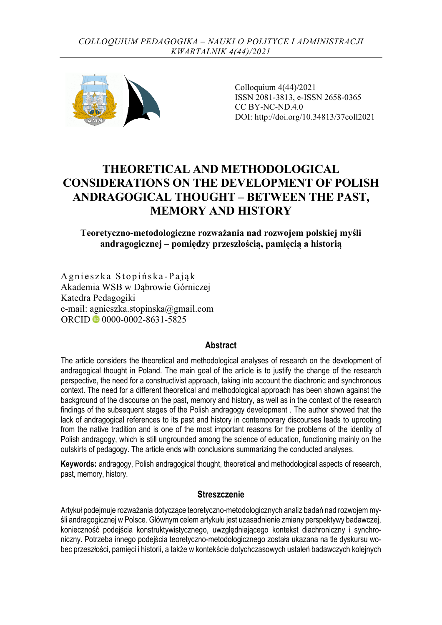

Colloquium 4(44)/2021 ISSN 2081-3813, e-ISSN 2658-0365 CC BY-NC-ND.4.0 DOI: http://doi.org/10.34813/37coll2021

# **THEORETICAL AND METHODOLOGICAL CONSIDERATIONS ON THE DEVELOPMENT OF POLISH ANDRAGOGICAL THOUGHT – BETWEEN THE PAST, MEMORY AND HISTORY**

### **Teoretyczno-metodologiczne rozważania nad rozwojem polskiej myśli andragogicznej – pomiędzy przeszłością, pamięcią a historią**

Agnieszka Stopińska -Pająk Akademia WSB w Dąbrowie Górniczej Katedra Pedagogiki e-mail: agnieszka.stopinska@gmail.com ORCID © [0000-0002-8631-5825](https://orcid.org/0000-0002-8631-5825)

#### **Abstract**

The article considers the theoretical and methodological analyses of research on the development of andragogical thought in Poland. The main goal of the article is to justify the change of the research perspective, the need for a constructivist approach, taking into account the diachronic and synchronous context. The need for a different theoretical and methodological approach has been shown against the background of the discourse on the past, memory and history, as well as in the context of the research findings of the subsequent stages of the Polish andragogy development . The author showed that the lack of andragogical references to its past and history in contemporary discourses leads to uprooting from the native tradition and is one of the most important reasons for the problems of the identity of Polish andragogy, which is still ungrounded among the science of education, functioning mainly on the outskirts of pedagogy. The article ends with conclusions summarizing the conducted analyses.

**Keywords:** andragogy, Polish andragogical thought, theoretical and methodological aspects of research, past, memory, history.

#### **Streszczenie**

Artykuł podejmuje rozważania dotyczące teoretyczno-metodologicznych analiz badań nad rozwojem myśli andragogicznej w Polsce. Głównym celem artykułu jest uzasadnienie zmiany perspektywy badawczej, konieczność podejścia konstruktywistycznego, uwzględniającego kontekst diachroniczny i synchroniczny. Potrzeba innego podejścia teoretyczno-metodologicznego została ukazana na tle dyskursu wobec przeszłości, pamięci i historii, a także w kontekście dotychczasowych ustaleń badawczych kolejnych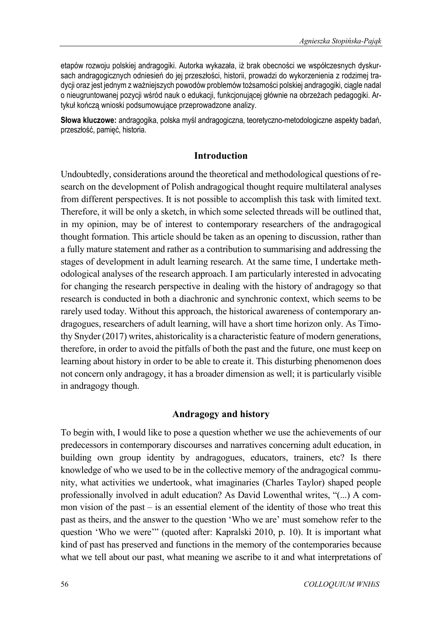etapów rozwoju polskiej andragogiki. Autorka wykazała, iż brak obecności we współczesnych dyskursach andragogicznych odniesień do jej przeszłości, historii, prowadzi do wykorzenienia z rodzimej tradycji oraz jest jednym z ważniejszych powodów problemów tożsamości polskiej andragogiki, ciągle nadal o nieugruntowanej pozycji wśród nauk o edukacji, funkcjonującej głównie na obrzeżach pedagogiki. Artykuł kończą wnioski podsumowujące przeprowadzone analizy.

**Słowa kluczowe:** andragogika, polska myśl andragogiczna, teoretyczno-metodologiczne aspekty badań, przeszłość, pamięć, historia.

#### **Introduction**

Undoubtedly, considerations around the theoretical and methodological questions of research on the development of Polish andragogical thought require multilateral analyses from different perspectives. It is not possible to accomplish this task with limited text. Therefore, it will be only a sketch, in which some selected threads will be outlined that, in my opinion, may be of interest to contemporary researchers of the andragogical thought formation. This article should be taken as an opening to discussion, rather than a fully mature statement and rather as a contribution to summarising and addressing the stages of development in adult learning research. At the same time, I undertake methodological analyses of the research approach. I am particularly interested in advocating for changing the research perspective in dealing with the history of andragogy so that research is conducted in both a diachronic and synchronic context, which seems to be rarely used today. Without this approach, the historical awareness of contemporary andragogues, researchers of adult learning, will have a short time horizon only. As Timothy Snyder (2017) writes, ahistoricality is a characteristic feature of modern generations, therefore, in order to avoid the pitfalls of both the past and the future, one must keep on learning about history in order to be able to create it. This disturbing phenomenon does not concern only andragogy, it has a broader dimension as well; it is particularly visible in andragogy though.

#### **Andragogy and history**

To begin with, I would like to pose a question whether we use the achievements of our predecessors in contemporary discourses and narratives concerning adult education, in building own group identity by andragogues, educators, trainers, etc? Is there knowledge of who we used to be in the collective memory of the andragogical community, what activities we undertook, what imaginaries (Charles Taylor) shaped people professionally involved in adult education? As David Lowenthal writes, "(...) A common vision of the past – is an essential element of the identity of those who treat this past as theirs, and the answer to the question 'Who we are' must somehow refer to the question 'Who we were'" (quoted after: Kapralski 2010, p. 10). It is important what kind of past has preserved and functions in the memory of the contemporaries because what we tell about our past, what meaning we ascribe to it and what interpretations of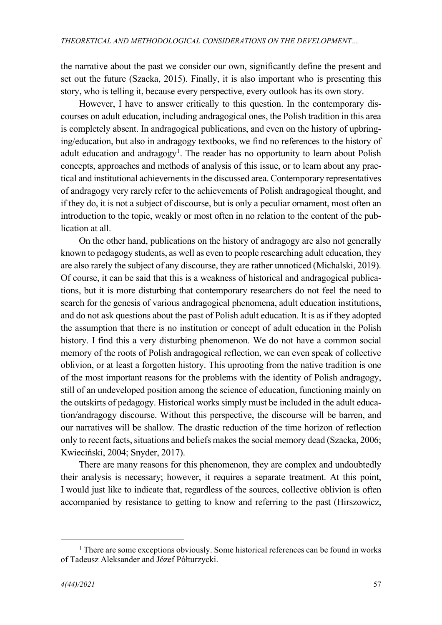the narrative about the past we consider our own, significantly define the present and set out the future (Szacka, 2015). Finally, it is also important who is presenting this story, who is telling it, because every perspective, every outlook has its own story.

However, I have to answer critically to this question. In the contemporary discourses on adult education, including andragogical ones, the Polish tradition in this area is completely absent. In andragogical publications, and even on the history of upbringing/education, but also in andragogy textbooks, we find no references to the history of adult education and andragogy<sup>[1](#page-2-0)</sup>. The reader has no opportunity to learn about Polish concepts, approaches and methods of analysis of this issue, or to learn about any practical and institutional achievements in the discussed area. Contemporary representatives of andragogy very rarely refer to the achievements of Polish andragogical thought, and if they do, it is not a subject of discourse, but is only a peculiar ornament, most often an introduction to the topic, weakly or most often in no relation to the content of the publication at all.

On the other hand, publications on the history of andragogy are also not generally known to pedagogy students, as well as even to people researching adult education, they are also rarely the subject of any discourse, they are rather unnoticed (Michalski, 2019). Of course, it can be said that this is a weakness of historical and andragogical publications, but it is more disturbing that contemporary researchers do not feel the need to search for the genesis of various andragogical phenomena, adult education institutions, and do not ask questions about the past of Polish adult education. It is as if they adopted the assumption that there is no institution or concept of adult education in the Polish history. I find this a very disturbing phenomenon. We do not have a common social memory of the roots of Polish andragogical reflection, we can even speak of collective oblivion, or at least a forgotten history. This uprooting from the native tradition is one of the most important reasons for the problems with the identity of Polish andragogy, still of an undeveloped position among the science of education, functioning mainly on the outskirts of pedagogy. Historical works simply must be included in the adult education/andragogy discourse. Without this perspective, the discourse will be barren, and our narratives will be shallow. The drastic reduction of the time horizon of reflection only to recent facts, situations and beliefs makes the social memory dead (Szacka, 2006; Kwieciński, 2004; Snyder, 2017).

There are many reasons for this phenomenon, they are complex and undoubtedly their analysis is necessary; however, it requires a separate treatment. At this point, I would just like to indicate that, regardless of the sources, collective oblivion is often accompanied by resistance to getting to know and referring to the past (Hirszowicz,

<span id="page-2-0"></span> $1$  There are some exceptions obviously. Some historical references can be found in works of Tadeusz Aleksander and Józef Półturzycki.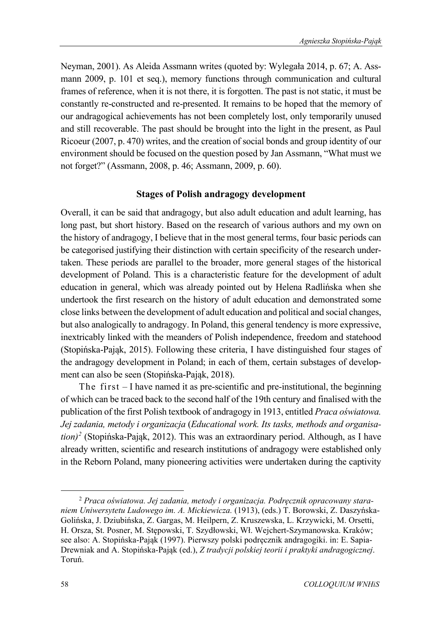Neyman, 2001). As Aleida Assmann writes (quoted by: Wylegała 2014, p. 67; A. Assmann 2009, p. 101 et seq.), memory functions through communication and cultural frames of reference, when it is not there, it is forgotten. The past is not static, it must be constantly re-constructed and re-presented. It remains to be hoped that the memory of our andragogical achievements has not been completely lost, only temporarily unused and still recoverable. The past should be brought into the light in the present, as Paul Ricoeur (2007, p. 470) writes, and the creation of social bonds and group identity of our environment should be focused on the question posed by Jan Assmann, "What must we not forget?" (Assmann, 2008, p. 46; Assmann, 2009, p. 60).

#### **Stages of Polish andragogy development**

Overall, it can be said that andragogy, but also adult education and adult learning, has long past, but short history. Based on the research of various authors and my own on the history of andragogy, I believe that in the most general terms, four basic periods can be categorised justifying their distinction with certain specificity of the research undertaken. These periods are parallel to the broader, more general stages of the historical development of Poland. This is a characteristic feature for the development of adult education in general, which was already pointed out by Helena Radlińska when she undertook the first research on the history of adult education and demonstrated some close links between the development of adult education and political and social changes, but also analogically to andragogy. In Poland, this general tendency is more expressive, inextricably linked with the meanders of Polish independence, freedom and statehood (Stopińska-Pająk, 2015). Following these criteria, I have distinguished four stages of the andragogy development in Poland; in each of them, certain substages of development can also be seen (Stopińska-Pająk, 2018).

The first – I have named it as pre-scientific and pre-institutional, the beginning of which can be traced back to the second half of the 19th century and finalised with the publication of the first Polish textbook of andragogy in 1913, entitled *Praca oświatowa. Jej zadania, metody i organizacja* (*Educational work. Its tasks, methods and organisation) [2](#page-3-0)* (Stopińska-Pająk, 2012). This was an extraordinary period. Although, as I have already written, scientific and research institutions of andragogy were established only in the Reborn Poland, many pioneering activities were undertaken during the captivity

<span id="page-3-0"></span><sup>2</sup> *Praca oświatowa. Jej zadania, metody i organizacja. Podręcznik opracowany staraniem Uniwersytetu Ludowego im. A. Mickiewicza.* (1913), (eds.) T. Borowski, Z. Daszyńska-Golińska, J. Dziubińska, Z. Gargas, M. Heilpern, Z. Kruszewska, L. Krzywicki, M. Orsetti, H. Orsza, St. Posner, M. Stępowski, T. Szydłowski, Wł. Wejchert-Szymanowska. Kraków; see also: A. Stopińska-Pająk (1997). Pierwszy polski podręcznik andragogiki. in: E. Sapia-Drewniak and A. Stopińska-Pająk (ed.), *Z tradycji polskiej teorii i praktyki andragogicznej*. Toruń.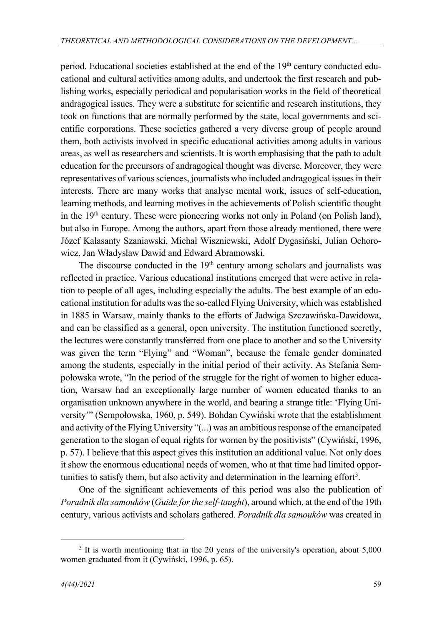period. Educational societies established at the end of the 19<sup>th</sup> century conducted educational and cultural activities among adults, and undertook the first research and publishing works, especially periodical and popularisation works in the field of theoretical andragogical issues. They were a substitute for scientific and research institutions, they took on functions that are normally performed by the state, local governments and scientific corporations. These societies gathered a very diverse group of people around them, both activists involved in specific educational activities among adults in various areas, as well as researchers and scientists. It is worth emphasising that the path to adult education for the precursors of andragogical thought was diverse. Moreover, they were representatives of various sciences, journalists who included andragogical issues in their interests. There are many works that analyse mental work, issues of self-education, learning methods, and learning motives in the achievements of Polish scientific thought in the 19<sup>th</sup> century. These were pioneering works not only in Poland (on Polish land), but also in Europe. Among the authors, apart from those already mentioned, there were Józef Kalasanty Szaniawski, Michał Wiszniewski, Adolf Dygasiński, Julian Ochorowicz, Jan Władysław Dawid and Edward Abramowski.

The discourse conducted in the  $19<sup>th</sup>$  century among scholars and journalists was reflected in practice. Various educational institutions emerged that were active in relation to people of all ages, including especially the adults. The best example of an educational institution for adults was the so-called Flying University, which was established in 1885 in Warsaw, mainly thanks to the efforts of Jadwiga Szczawińska-Dawidowa, and can be classified as a general, open university. The institution functioned secretly, the lectures were constantly transferred from one place to another and so the University was given the term "Flying" and "Woman", because the female gender dominated among the students, especially in the initial period of their activity. As Stefania Sempołowska wrote, "In the period of the struggle for the right of women to higher education, Warsaw had an exceptionally large number of women educated thanks to an organisation unknown anywhere in the world, and bearing a strange title: 'Flying University'" (Sempołowska, 1960, p. 549). Bohdan Cywiński wrote that the establishment and activity of the Flying University "(...) was an ambitious response of the emancipated generation to the slogan of equal rights for women by the positivists" (Cywiński, 1996, p. 57). I believe that this aspect gives this institution an additional value. Not only does it show the enormous educational needs of women, who at that time had limited oppor-tunities to satisfy them, but also activity and determination in the learning effort<sup>[3](#page-4-0)</sup>.

One of the significant achievements of this period was also the publication of *Poradnik dla samouków* (*Guide for the self-taught*), around which, at the end of the 19th century, various activists and scholars gathered. *Poradnik dla samouków* was created in

<span id="page-4-0"></span><sup>&</sup>lt;sup>3</sup> It is worth mentioning that in the 20 years of the university's operation, about 5,000 women graduated from it (Cywiński, 1996, p. 65).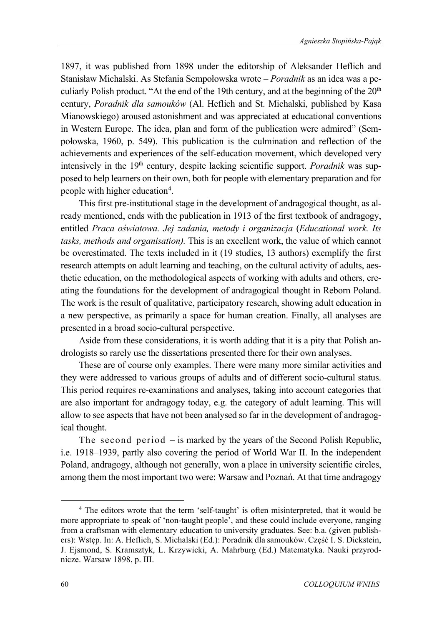1897, it was published from 1898 under the editorship of Aleksander Heflich and Stanisław Michalski. As Stefania Sempołowska wrote – *Poradnik* as an idea was a peculiarly Polish product. "At the end of the 19th century, and at the beginning of the  $20<sup>th</sup>$ century, *Poradnik dla samouków* (Al. Heflich and St. Michalski, published by Kasa Mianowskiego) aroused astonishment and was appreciated at educational conventions in Western Europe. The idea, plan and form of the publication were admired" (Sempołowska, 1960, p. 549). This publication is the culmination and reflection of the achievements and experiences of the self-education movement, which developed very intensively in the 19<sup>th</sup> century, despite lacking scientific support. *Poradnik* was supposed to help learners on their own, both for people with elementary preparation and for people with higher education<sup>[4](#page-5-0)</sup>.

This first pre-institutional stage in the development of andragogical thought, as already mentioned, ends with the publication in 1913 of the first textbook of andragogy, entitled *Praca oświatowa. Jej zadania, metody i organizacja* (*Educational work. Its tasks, methods and organisation).* This is an excellent work, the value of which cannot be overestimated. The texts included in it (19 studies, 13 authors) exemplify the first research attempts on adult learning and teaching, on the cultural activity of adults, aesthetic education, on the methodological aspects of working with adults and others, creating the foundations for the development of andragogical thought in Reborn Poland. The work is the result of qualitative, participatory research, showing adult education in a new perspective, as primarily a space for human creation. Finally, all analyses are presented in a broad socio-cultural perspective.

Aside from these considerations, it is worth adding that it is a pity that Polish andrologists so rarely use the dissertations presented there for their own analyses.

These are of course only examples. There were many more similar activities and they were addressed to various groups of adults and of different socio-cultural status. This period requires re-examinations and analyses, taking into account categories that are also important for andragogy today, e.g. the category of adult learning. This will allow to see aspects that have not been analysed so far in the development of andragogical thought.

The second period – is marked by the years of the Second Polish Republic, i.e. 1918–1939, partly also covering the period of World War II. In the independent Poland, andragogy, although not generally, won a place in university scientific circles, among them the most important two were: Warsaw and Poznań. At that time andragogy

<span id="page-5-0"></span><sup>4</sup> The editors wrote that the term 'self-taught' is often misinterpreted, that it would be more appropriate to speak of 'non-taught people', and these could include everyone, ranging from a craftsman with elementary education to university graduates. See: b.a. (given publishers): Wstęp. In: A. Heflich, S. Michalski (Ed.): Poradnik dla samouków. Część I. S. Dickstein, J. Ejsmond, S. Kramsztyk, L. Krzywicki, A. Mahrburg (Ed.) Matematyka. Nauki przyrodnicze. Warsaw 1898, p. III.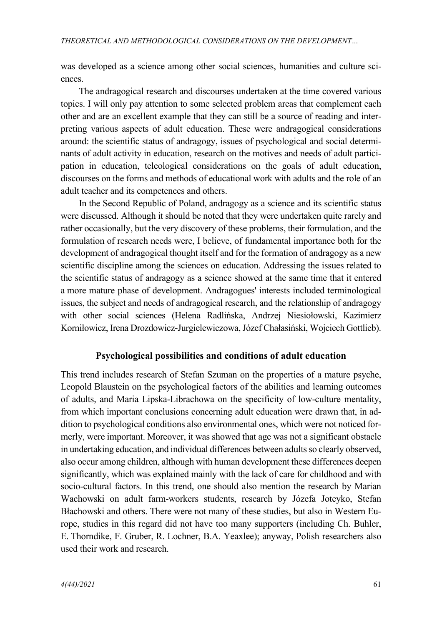was developed as a science among other social sciences, humanities and culture sciences.

The andragogical research and discourses undertaken at the time covered various topics. I will only pay attention to some selected problem areas that complement each other and are an excellent example that they can still be a source of reading and interpreting various aspects of adult education. These were andragogical considerations around: the scientific status of andragogy, issues of psychological and social determinants of adult activity in education, research on the motives and needs of adult participation in education, teleological considerations on the goals of adult education, discourses on the forms and methods of educational work with adults and the role of an adult teacher and its competences and others.

In the Second Republic of Poland, andragogy as a science and its scientific status were discussed. Although it should be noted that they were undertaken quite rarely and rather occasionally, but the very discovery of these problems, their formulation, and the formulation of research needs were, I believe, of fundamental importance both for the development of andragogical thought itself and for the formation of andragogy as a new scientific discipline among the sciences on education. Addressing the issues related to the scientific status of andragogy as a science showed at the same time that it entered a more mature phase of development. Andragogues' interests included terminological issues, the subject and needs of andragogical research, and the relationship of andragogy with other social sciences (Helena Radlińska, Andrzej Niesiołowski, Kazimierz Korniłowicz, Irena Drozdowicz-Jurgielewiczowa, Józef Chałasiński, Wojciech Gottlieb).

### **Psychological possibilities and conditions of adult education**

This trend includes research of Stefan Szuman on the properties of a mature psyche, Leopold Blaustein on the psychological factors of the abilities and learning outcomes of adults, and Maria Lipska-Librachowa on the specificity of low-culture mentality, from which important conclusions concerning adult education were drawn that, in addition to psychological conditions also environmental ones, which were not noticed formerly, were important. Moreover, it was showed that age was not a significant obstacle in undertaking education, and individual differences between adults so clearly observed, also occur among children, although with human development these differences deepen significantly, which was explained mainly with the lack of care for childhood and with socio-cultural factors. In this trend, one should also mention the research by Marian Wachowski on adult farm-workers students, research by Józefa Joteyko, Stefan Błachowski and others. There were not many of these studies, but also in Western Europe, studies in this regard did not have too many supporters (including Ch. Buhler, E. Thorndike, F. Gruber, R. Lochner, B.A. Yeaxlee); anyway, Polish researchers also used their work and research.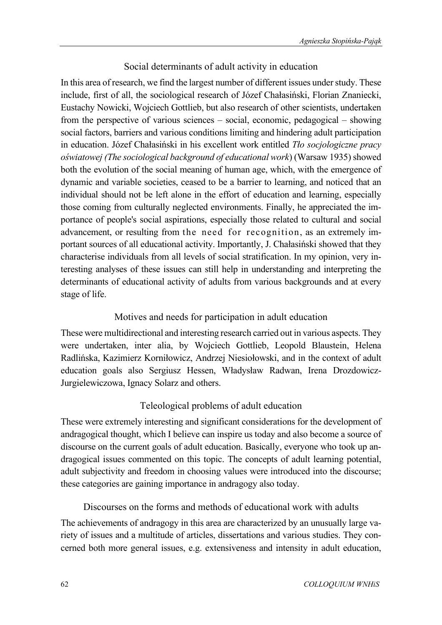### Social determinants of adult activity in education

In this area of research, we find the largest number of different issues under study. These include, first of all, the sociological research of Józef Chałasiński, Florian Znaniecki, Eustachy Nowicki, Wojciech Gottlieb, but also research of other scientists, undertaken from the perspective of various sciences – social, economic, pedagogical – showing social factors, barriers and various conditions limiting and hindering adult participation in education. Józef Chałasiński in his excellent work entitled *Tło socjologiczne pracy oświatowej (The sociological background of educational work*) (Warsaw 1935) showed both the evolution of the social meaning of human age, which, with the emergence of dynamic and variable societies, ceased to be a barrier to learning, and noticed that an individual should not be left alone in the effort of education and learning, especially those coming from culturally neglected environments. Finally, he appreciated the importance of people's social aspirations, especially those related to cultural and social advancement, or resulting from the need for recognition, as an extremely important sources of all educational activity. Importantly, J. Chałasiński showed that they characterise individuals from all levels of social stratification. In my opinion, very interesting analyses of these issues can still help in understanding and interpreting the determinants of educational activity of adults from various backgrounds and at every stage of life.

## Motives and needs for participation in adult education

These were multidirectional and interesting research carried out in various aspects. They were undertaken, inter alia, by Wojciech Gottlieb, Leopold Blaustein, Helena Radlińska, Kazimierz Korniłowicz, Andrzej Niesiołowski, and in the context of adult education goals also Sergiusz Hessen, Władysław Radwan, Irena Drozdowicz-Jurgielewiczowa, Ignacy Solarz and others.

# Teleological problems of adult education

These were extremely interesting and significant considerations for the development of andragogical thought, which I believe can inspire us today and also become a source of discourse on the current goals of adult education. Basically, everyone who took up andragogical issues commented on this topic. The concepts of adult learning potential, adult subjectivity and freedom in choosing values were introduced into the discourse; these categories are gaining importance in andragogy also today.

### Discourses on the forms and methods of educational work with adults

The achievements of andragogy in this area are characterized by an unusually large variety of issues and a multitude of articles, dissertations and various studies. They concerned both more general issues, e.g. extensiveness and intensity in adult education,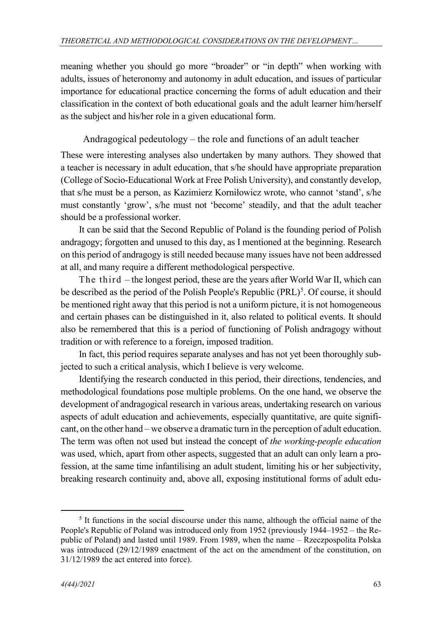meaning whether you should go more "broader" or "in depth" when working with adults, issues of heteronomy and autonomy in adult education, and issues of particular importance for educational practice concerning the forms of adult education and their classification in the context of both educational goals and the adult learner him/herself as the subject and his/her role in a given educational form.

Andragogical pedeutology – the role and functions of an adult teacher

These were interesting analyses also undertaken by many authors. They showed that a teacher is necessary in adult education, that s/he should have appropriate preparation (College of Socio-Educational Work at Free Polish University), and constantly develop, that s/he must be a person, as Kazimierz Korniłowicz wrote, who cannot 'stand', s/he must constantly 'grow', s/he must not 'become' steadily, and that the adult teacher should be a professional worker.

It can be said that the Second Republic of Poland is the founding period of Polish andragogy; forgotten and unused to this day, as I mentioned at the beginning. Research on this period of andragogy is still needed because many issues have not been addressed at all, and many require a different methodological perspective.

The third – the longest period, these are the years after World War II, which can be described as the period of the Polish People's Republic (PRL)<sup>[5](#page-8-0)</sup>. Of course, it should be mentioned right away that this period is not a uniform picture, it is not homogeneous and certain phases can be distinguished in it, also related to political events. It should also be remembered that this is a period of functioning of Polish andragogy without tradition or with reference to a foreign, imposed tradition.

In fact, this period requires separate analyses and has not yet been thoroughly subjected to such a critical analysis, which I believe is very welcome.

Identifying the research conducted in this period, their directions, tendencies, and methodological foundations pose multiple problems. On the one hand, we observe the development of andragogical research in various areas, undertaking research on various aspects of adult education and achievements, especially quantitative, are quite significant, on the other hand – we observe a dramatic turn in the perception of adult education. The term was often not used but instead the concept of *the working-people education* was used, which, apart from other aspects, suggested that an adult can only learn a profession, at the same time infantilising an adult student, limiting his or her subjectivity, breaking research continuity and, above all, exposing institutional forms of adult edu-

<span id="page-8-0"></span><sup>5</sup> It functions in the social discourse under this name, although the official name of the People's Republic of Poland was introduced only from 1952 (previously 1944–1952 – the Republic of Poland) and lasted until 1989. From 1989, when the name – Rzeczpospolita Polska was introduced (29/12/1989 enactment of the act on the amendment of the constitution, on 31/12/1989 the act entered into force).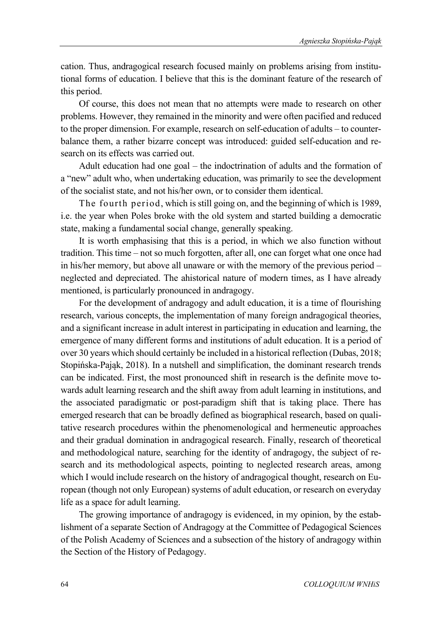cation. Thus, andragogical research focused mainly on problems arising from institutional forms of education. I believe that this is the dominant feature of the research of this period.

Of course, this does not mean that no attempts were made to research on other problems. However, they remained in the minority and were often pacified and reduced to the proper dimension. For example, research on self-education of adults – to counterbalance them, a rather bizarre concept was introduced: guided self-education and research on its effects was carried out.

Adult education had one goal – the indoctrination of adults and the formation of a "new" adult who, when undertaking education, was primarily to see the development of the socialist state, and not his/her own, or to consider them identical.

The fourth period, which is still going on, and the beginning of which is 1989, i.e. the year when Poles broke with the old system and started building a democratic state, making a fundamental social change, generally speaking.

It is worth emphasising that this is a period, in which we also function without tradition. This time – not so much forgotten, after all, one can forget what one once had in his/her memory, but above all unaware or with the memory of the previous period – neglected and depreciated. The ahistorical nature of modern times, as I have already mentioned, is particularly pronounced in andragogy.

For the development of andragogy and adult education, it is a time of flourishing research, various concepts, the implementation of many foreign andragogical theories, and a significant increase in adult interest in participating in education and learning, the emergence of many different forms and institutions of adult education. It is a period of over 30 years which should certainly be included in a historical reflection (Dubas, 2018; Stopińska-Pająk, 2018). In a nutshell and simplification, the dominant research trends can be indicated. First, the most pronounced shift in research is the definite move towards adult learning research and the shift away from adult learning in institutions, and the associated paradigmatic or post-paradigm shift that is taking place. There has emerged research that can be broadly defined as biographical research, based on qualitative research procedures within the phenomenological and hermeneutic approaches and their gradual domination in andragogical research. Finally, research of theoretical and methodological nature, searching for the identity of andragogy, the subject of research and its methodological aspects, pointing to neglected research areas, among which I would include research on the history of andragogical thought, research on European (though not only European) systems of adult education, or research on everyday life as a space for adult learning.

The growing importance of andragogy is evidenced, in my opinion, by the establishment of a separate Section of Andragogy at the Committee of Pedagogical Sciences of the Polish Academy of Sciences and a subsection of the history of andragogy within the Section of the History of Pedagogy.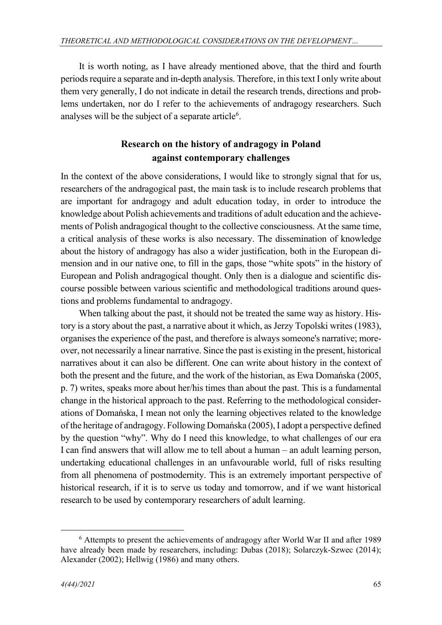It is worth noting, as I have already mentioned above, that the third and fourth periods require a separate and in-depth analysis. Therefore, in this text I only write about them very generally, I do not indicate in detail the research trends, directions and problems undertaken, nor do I refer to the achievements of andragogy researchers. Such analyses will be the subject of a separate article<sup>6</sup>.

# **Research on the history of andragogy in Poland against contemporary challenges**

In the context of the above considerations, I would like to strongly signal that for us, researchers of the andragogical past, the main task is to include research problems that are important for andragogy and adult education today, in order to introduce the knowledge about Polish achievements and traditions of adult education and the achievements of Polish andragogical thought to the collective consciousness. At the same time, a critical analysis of these works is also necessary. The dissemination of knowledge about the history of andragogy has also a wider justification, both in the European dimension and in our native one, to fill in the gaps, those "white spots" in the history of European and Polish andragogical thought. Only then is a dialogue and scientific discourse possible between various scientific and methodological traditions around questions and problems fundamental to andragogy.

When talking about the past, it should not be treated the same way as history. History is a story about the past, a narrative about it which, as Jerzy Topolski writes (1983), organises the experience of the past, and therefore is always someone's narrative; moreover, not necessarily a linear narrative. Since the past is existing in the present, historical narratives about it can also be different. One can write about history in the context of both the present and the future, and the work of the historian, as Ewa Domańska (2005, p. 7) writes, speaks more about her/his times than about the past. This is a fundamental change in the historical approach to the past. Referring to the methodological considerations of Domańska, I mean not only the learning objectives related to the knowledge of the heritage of andragogy. Following Domańska (2005), I adopt a perspective defined by the question "why". Why do I need this knowledge, to what challenges of our era I can find answers that will allow me to tell about a human – an adult learning person, undertaking educational challenges in an unfavourable world, full of risks resulting from all phenomena of postmodernity. This is an extremely important perspective of historical research, if it is to serve us today and tomorrow, and if we want historical research to be used by contemporary researchers of adult learning.

<span id="page-10-0"></span><sup>6</sup> Attempts to present the achievements of andragogy after World War II and after 1989 have already been made by researchers, including: Dubas (2018); Solarczyk-Szwec (2014); Alexander (2002); Hellwig (1986) and many others.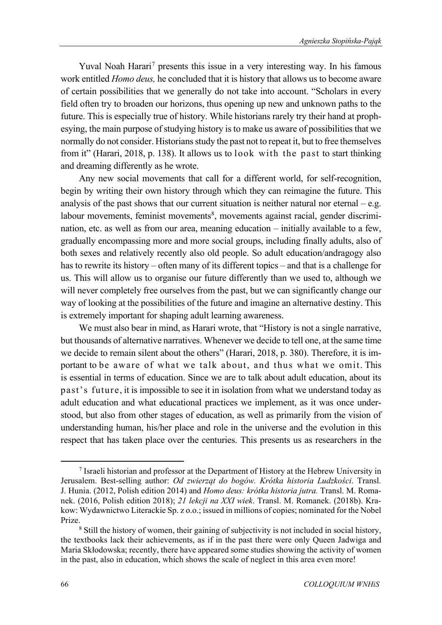Yuval Noah Harari<sup>[7](#page-11-0)</sup> presents this issue in a very interesting way. In his famous work entitled *Homo deus,* he concluded that it is history that allows us to become aware of certain possibilities that we generally do not take into account. "Scholars in every field often try to broaden our horizons, thus opening up new and unknown paths to the future. This is especially true of history. While historians rarely try their hand at prophesying, the main purpose of studying history is to make us aware of possibilities that we normally do not consider. Historians study the past not to repeat it, but to free themselves from it" (Harari, 2018, p. 138). It allows us to look with the past to start thinking and dreaming differently as he wrote.

Any new social movements that call for a different world, for self-recognition, begin by writing their own history through which they can reimagine the future. This analysis of the past shows that our current situation is neither natural nor eternal  $-$  e.g. labour movements, feminist movements<sup>[8](#page-11-1)</sup>, movements against racial, gender discrimination, etc. as well as from our area, meaning education – initially available to a few, gradually encompassing more and more social groups, including finally adults, also of both sexes and relatively recently also old people. So adult education/andragogy also has to rewrite its history – often many of its different topics – and that is a challenge for us. This will allow us to organise our future differently than we used to, although we will never completely free ourselves from the past, but we can significantly change our way of looking at the possibilities of the future and imagine an alternative destiny. This is extremely important for shaping adult learning awareness.

We must also bear in mind, as Harari wrote, that "History is not a single narrative, but thousands of alternative narratives. Whenever we decide to tell one, at the same time we decide to remain silent about the others" (Harari, 2018, p. 380). Therefore, it is important to be aware of what we talk about, and thus what we omit. This is essential in terms of education. Since we are to talk about adult education, about its past's future, it is impossible to see it in isolation from what we understand today as adult education and what educational practices we implement, as it was once understood, but also from other stages of education, as well as primarily from the vision of understanding human, his/her place and role in the universe and the evolution in this respect that has taken place over the centuries. This presents us as researchers in the

<span id="page-11-0"></span><sup>7</sup> Israeli historian and professor at the Department of History at the Hebrew University in Jerusalem. Best-selling author: *Od zwierząt do bogów. Krótka historia Ludzkości*. Transl. J. Hunia. (2012, Polish edition 2014) and *Homo deus: krótka historia jutra.* Transl. M. Romanek. (2016, Polish edition 2018); *21 lekcji na XXI wiek*. Transl. M. Romanek. (2018b). Krakow: Wydawnictwo Literackie Sp. z o.o.; issued in millions of copies; nominated for the Nobel

<span id="page-11-1"></span> $\delta$  Still the history of women, their gaining of subjectivity is not included in social history, the textbooks lack their achievements, as if in the past there were only Queen Jadwiga and Maria Skłodowska; recently, there have appeared some studies showing the activity of women in the past, also in education, which shows the scale of neglect in this area even more!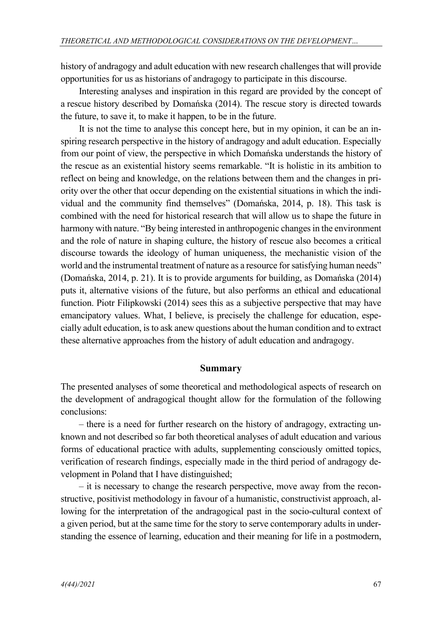history of andragogy and adult education with new research challenges that will provide opportunities for us as historians of andragogy to participate in this discourse.

Interesting analyses and inspiration in this regard are provided by the concept of a rescue history described by Domańska (2014). The rescue story is directed towards the future, to save it, to make it happen, to be in the future.

It is not the time to analyse this concept here, but in my opinion, it can be an inspiring research perspective in the history of andragogy and adult education. Especially from our point of view, the perspective in which Domańska understands the history of the rescue as an existential history seems remarkable. "It is holistic in its ambition to reflect on being and knowledge, on the relations between them and the changes in priority over the other that occur depending on the existential situations in which the individual and the community find themselves" (Domańska, 2014, p. 18). This task is combined with the need for historical research that will allow us to shape the future in harmony with nature. "By being interested in anthropogenic changes in the environment and the role of nature in shaping culture, the history of rescue also becomes a critical discourse towards the ideology of human uniqueness, the mechanistic vision of the world and the instrumental treatment of nature as a resource for satisfying human needs" (Domańska, 2014, p. 21). It is to provide arguments for building, as Domańska (2014) puts it, alternative visions of the future, but also performs an ethical and educational function. Piotr Filipkowski (2014) sees this as a subjective perspective that may have emancipatory values. What, I believe, is precisely the challenge for education, especially adult education, is to ask anew questions about the human condition and to extract these alternative approaches from the history of adult education and andragogy.

#### **Summary**

The presented analyses of some theoretical and methodological aspects of research on the development of andragogical thought allow for the formulation of the following conclusions:

– there is a need for further research on the history of andragogy, extracting unknown and not described so far both theoretical analyses of adult education and various forms of educational practice with adults, supplementing consciously omitted topics, verification of research findings, especially made in the third period of andragogy development in Poland that I have distinguished;

– it is necessary to change the research perspective, move away from the reconstructive, positivist methodology in favour of a humanistic, constructivist approach, allowing for the interpretation of the andragogical past in the socio-cultural context of a given period, but at the same time for the story to serve contemporary adults in understanding the essence of learning, education and their meaning for life in a postmodern,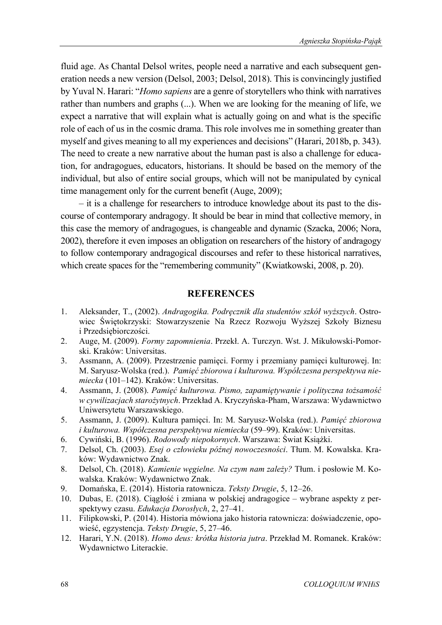fluid age. As Chantal Delsol writes, people need a narrative and each subsequent generation needs a new version (Delsol, 2003; Delsol, 2018). This is convincingly justified by Yuval N. Harari: "*Homo sapiens* are a genre of storytellers who think with narratives rather than numbers and graphs (...). When we are looking for the meaning of life, we expect a narrative that will explain what is actually going on and what is the specific role of each of us in the cosmic drama. This role involves me in something greater than myself and gives meaning to all my experiences and decisions" (Harari, 2018b, p. 343). The need to create a new narrative about the human past is also a challenge for education, for andragogues, educators, historians. It should be based on the memory of the individual, but also of entire social groups, which will not be manipulated by cynical time management only for the current benefit (Auge, 2009);

– it is a challenge for researchers to introduce knowledge about its past to the discourse of contemporary andragogy. It should be bear in mind that collective memory, in this case the memory of andragogues, is changeable and dynamic (Szacka, 2006; Nora, 2002), therefore it even imposes an obligation on researchers of the history of andragogy to follow contemporary andragogical discourses and refer to these historical narratives, which create spaces for the "remembering community" (Kwiatkowski, 2008, p. 20).

#### **REFERENCES**

- 1. Aleksander, T., (2002). *Andragogika. Podręcznik dla studentów szkół wyższych*. Ostrowiec Świętokrzyski: Stowarzyszenie Na Rzecz Rozwoju Wyższej Szkoły Biznesu i Przedsiębiorczości.
- 2. Auge, M. (2009). *Formy zapomnienia*. Przekł. A. Turczyn. Wst. J. Mikułowski-Pomorski. Kraków: Universitas.
- 3. Assmann, A. (2009). Przestrzenie pamięci. Formy i przemiany pamięci kulturowej. In: M. Saryusz-Wolska (red.). *Pamięć zbiorowa i kulturowa. Współczesna perspektywa niemiecka* (101–142). Kraków: Universitas.
- 4. Assmann, J. (2008). *Pamięć kulturowa. Pismo, zapamiętywanie i polityczna tożsamość w cywilizacjach starożytnych*. Przekład A. Kryczyńska-Pham, Warszawa: Wydawnictwo Uniwersytetu Warszawskiego.
- 5. Assmann, J. (2009). Kultura pamięci. In: M. Saryusz-Wolska (red.). *Pamięć zbiorowa i kulturowa. Współczesna perspektywa niemiecka* (59–99). Kraków: Universitas.
- 6. Cywiński, B. (1996). *Rodowody niepokornych*. Warszawa: Świat Książki.
- 7. Delsol, Ch. (2003). *Esej o człowieku późnej nowoczesności*. Tłum. M. Kowalska. Kraków: Wydawnictwo Znak.
- 8. Delsol, Ch. (2018). *Kamienie węgielne. Na czym nam zależy?* Tłum. i posłowie M. Kowalska. Kraków: Wydawnictwo Znak.
- 9. Domańska, E. (2014). Historia ratownicza. *Teksty Drugie*, 5, 12–26.
- 10. Dubas, E. (2018). Ciągłość i zmiana w polskiej andragogice wybrane aspekty z perspektywy czasu. *Edukacja Dorosłych*, 2, 27–41.
- 11. Filipkowski, P. (2014). Historia mówiona jako historia ratownicza: doświadczenie, opowieść, egzystencja. *Teksty Drugie*, 5, 27–46.
- 12. Harari, Y.N. (2018). *Homo deus: krótka historia jutra*. Przekład M. Romanek. Kraków: Wydawnictwo Literackie.